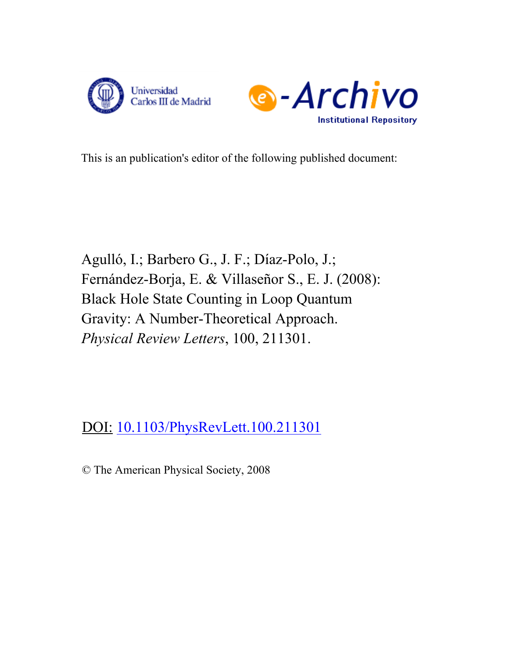



This is an publication's editor of the following published document:

Agulló, I.; Barbero G., J. F.; Díaz-Polo, J.; Fernández-Borja, E. & Villaseñor S., E. J. (2008): Black Hole State Counting in Loop Quantum Gravity: A Number-Theoretical Approach. *Physical Review Letters*, 100, 211301.

DOI: [10.1103/PhysRevLett.100.211301](http://www.dx.doi.org/10.1103/PhysRevLett.100.211301)

© The American Physical Society, 2008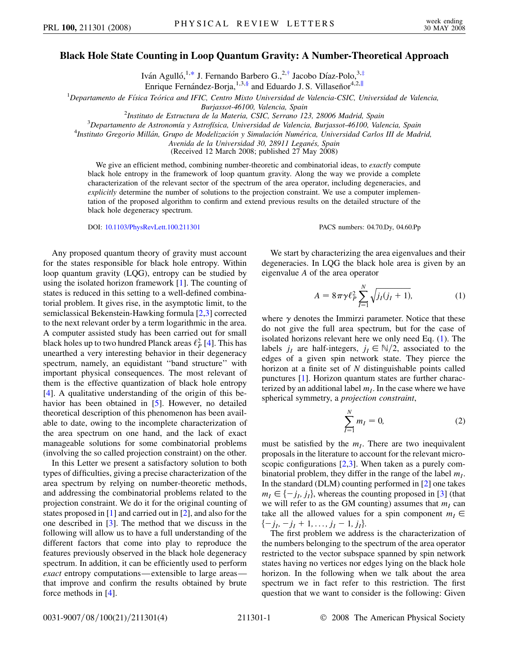## <span id="page-1-2"></span>**Black Hole State Counting in Loop Quantum Gravity: A Number-Theoretical Approach**

Iván Agulló,<sup>1[,\\*](#page-4-0)</sup> J. Fernando Barbero G.,<sup>2,[†](#page-4-1)</sup> Jacobo Díaz-Polo,<sup>3,[‡](#page-4-2)</sup> Enrique Fernández-Borja,<sup>1,3,§</sup> and Eduardo J. S. Villaseñor<sup>4,2,||</sup>

<sup>1</sup>Departamento de Física Teórica and IFIC, Centro Mixto Universidad de Valencia-CSIC, Universidad de Valencia,

*Burjassot-46100, Valencia, Spain* <sup>2</sup>

*Instituto de Estructura de la Materia, CSIC, Serrano 123, 28006 Madrid, Spain* <sup>3</sup>

*Departamento de Astronomı´a y Astrofı´sica, Universidad de Valencia, Burjassot-46100, Valencia, Spain* <sup>4</sup>

*Instituto Gregorio Milla´n, Grupo de Modelizacio´n y Simulacio´n Nume´rica, Universidad Carlos III de Madrid,*

*Avenida de la Universidad 30, 28911 Legane´s, Spain*

(Received 12 March 2008; published 27 May 2008)

We give an efficient method, combining number-theoretic and combinatorial ideas, to *exactly* compute black hole entropy in the framework of loop quantum gravity. Along the way we provide a complete characterization of the relevant sector of the spectrum of the area operator, including degeneracies, and *explicitly* determine the number of solutions to the projection constraint. We use a computer implementation of the proposed algorithm to confirm and extend previous results on the detailed structure of the black hole degeneracy spectrum.

DOI: [10.1103/PhysRevLett.100.211301](http://dx.doi.org/10.1103/PhysRevLett.100.211301) PACS numbers: 04.70.Dy, 04.60.Pp

Any proposed quantum theory of gravity must account for the states responsible for black hole entropy. Within loop quantum gravity (LQG), entropy can be studied by using the isolated horizon framework [\[1\]](#page-4-3). The counting of states is reduced in this setting to a well-defined combinatorial problem. It gives rise, in the asymptotic limit, to the semiclassical Bekenstein-Hawking formula [\[2](#page-4-4),[3](#page-4-5)] corrected to the next relevant order by a term logarithmic in the area. A computer assisted study has been carried out for small black holes up to two hundred Planck areas  $\ell_P^2$  [[4](#page-4-6)]. This has unearthed a very interesting behavior in their degeneracy spectrum, namely, an equidistant ''band structure'' with important physical consequences. The most relevant of them is the effective quantization of black hole entropy [\[4\]](#page-4-6). A qualitative understanding of the origin of this be-havior has been obtained in [\[5](#page-4-7)]. However, no detailed theoretical description of this phenomenon has been available to date, owing to the incomplete characterization of the area spectrum on one hand, and the lack of exact manageable solutions for some combinatorial problems (involving the so called projection constraint) on the other.

In this Letter we present a satisfactory solution to both types of difficulties, giving a precise characterization of the area spectrum by relying on number-theoretic methods, and addressing the combinatorial problems related to the projection constraint. We do it for the original counting of states proposed in [[1\]](#page-4-3) and carried out in [\[2](#page-4-4)], and also for the one described in [[3](#page-4-5)]. The method that we discuss in the following will allow us to have a full understanding of the different factors that come into play to reproduce the features previously observed in the black hole degeneracy spectrum. In addition, it can be efficiently used to perform *exact* entropy computations—extensible to large areas that improve and confirm the results obtained by brute force methods in [[4](#page-4-6)].

<span id="page-1-0"></span>We start by characterizing the area eigenvalues and their degeneracies. In LQG the black hole area is given by an eigenvalue *A* of the area operator

$$
A = 8\pi\gamma \ell_P^2 \sum_{I=1}^{N} \sqrt{j_I(j_I+1)},
$$
 (1)

where  $\gamma$  denotes the Immirzi parameter. Notice that these do not give the full area spectrum, but for the case of isolated horizons relevant here we only need Eq. [\(1](#page-1-0)). The labels  $j_I$  are half-integers,  $j_I \in \mathbb{N}/2$ , associated to the edges of a given spin network state. They pierce the horizon at a finite set of *N* distinguishable points called punctures [\[1\]](#page-4-3). Horizon quantum states are further characterized by an additional label  $m<sub>I</sub>$ . In the case where we have spherical symmetry, a *projection constraint*,

$$
\sum_{I=1}^{N} m_I = 0, \tag{2}
$$

<span id="page-1-1"></span>must be satisfied by the  $m<sub>I</sub>$ . There are two inequivalent proposals in the literature to account for the relevant microscopic configurations  $[2,3]$  $[2,3]$  $[2,3]$ . When taken as a purely combinatorial problem, they differ in the range of the label  $m<sub>I</sub>$ . In the standard (DLM) counting performed in [\[2](#page-4-4)] one takes  $m_I \in \{-j_I, j_I\}$ , whereas the counting proposed in [\[3\]](#page-4-5) (that we will refer to as the GM counting) assumes that  $m<sub>I</sub>$  can take all the allowed values for a spin component  $m<sub>I</sub> \in$  $\{-j_l, -j_l + 1, \ldots, j_l - 1, j_l\}.$ 

The first problem we address is the characterization of the numbers belonging to the spectrum of the area operator restricted to the vector subspace spanned by spin network states having no vertices nor edges lying on the black hole horizon. In the following when we talk about the area spectrum we in fact refer to this restriction. The first question that we want to consider is the following: Given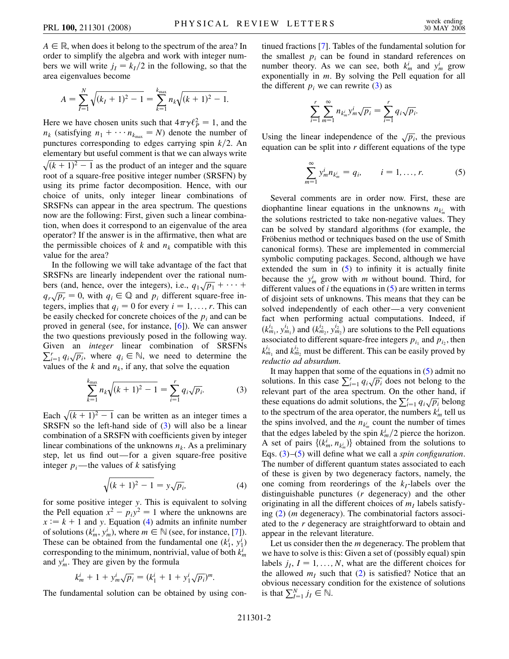$A \in \mathbb{R}$ , when does it belong to the spectrum of the area? In order to simplify the algebra and work with integer numbers we will write  $j_I = k_I/2$  in the following, so that the area eigenvalues become

$$
A = \sum_{I=1}^{N} \sqrt{(k_I + 1)^2 - 1} = \sum_{k=1}^{k_{\text{max}}} n_k \sqrt{(k+1)^2 - 1}.
$$

Here we have chosen units such that  $4\pi\gamma \ell_P^2 = 1$ , and the  $n_k$  (satisfying  $n_1 + \cdots + n_{k_{\text{max}}} = N$ ) denote the number of punctures corresponding to edges carrying spin  $k/2$ . An elementary but useful comment is that we can always write  $\sqrt{(k+1)^2 - 1}$  as the product of an integer and the square root of a square-free positive integer number (SRSFN) by using its prime factor decomposition. Hence, with our choice of units, only integer linear combinations of SRSFNs can appear in the area spectrum. The questions now are the following: First, given such a linear combination, when does it correspond to an eigenvalue of the area operator? If the answer is in the affirmative, then what are the permissible choices of  $k$  and  $n_k$  compatible with this value for the area?

In the following we will take advantage of the fact that SRSFNs are linearly independent over the rational numbers (and, hence, over the integers), i.e.,  $q_1\sqrt{p_1} + \cdots$  $q_r\sqrt{p_r} = 0$ , with  $q_i \in \mathbb{Q}$  and  $p_i$  different square-free integers, implies that  $q_i = 0$  for every  $i = 1, \ldots, r$ . This can be easily checked for concrete choices of the  $p_i$  and can be proved in general (see, for instance, [[6\]](#page-4-8)). We can answer the two questions previously posed in the following way. Given an *integer* linear combination of SRSFNs  $\sum_{i=1}^{r} q_i \sqrt{p_i}$ , where  $q_i \in \mathbb{N}$ , we need to determine the values of the  $k$  and  $n_k$ , if any, that solve the equation

$$
\sum_{k=1}^{k_{\text{max}}} n_k \sqrt{(k+1)^2 - 1} = \sum_{i=1}^{r} q_i \sqrt{p_i}.
$$
 (3)

<span id="page-2-0"></span>Each  $\sqrt{(k+1)^2 - 1}$  can be written as an integer times a SRSFN so the left-hand side of  $(3)$  $(3)$  will also be a linear combination of a SRSFN with coefficients given by integer linear combinations of the unknowns  $n_k$ . As a preliminary step, let us find out—for a given square-free positive integer  $p_i$ —the values of *k* satisfying

$$
\sqrt{(k+1)^2 - 1} = y\sqrt{p_i},\tag{4}
$$

<span id="page-2-1"></span>for some positive integer *y*. This is equivalent to solving the Pell equation  $x^2 - p_i y^2 = 1$  where the unknowns are  $x := k + 1$  and *y*. Equation ([4\)](#page-2-1) admits an infinite number of solutions  $(k_m^i, y_m^i)$ , where  $m \in \mathbb{N}$  (see, for instance, [\[7](#page-4-9)]). These can be obtained from the fundamental one  $(k_1^i, y_1^i)$ corresponding to the minimum, nontrivial, value of both *ki m* and  $y_m^i$ . They are given by the formula

$$
k_m^i + 1 + y_m^i \sqrt{p_i} = (k_1^i + 1 + y_1^i \sqrt{p_i})^m.
$$

The fundamental solution can be obtained by using con-

tinued fractions [\[7\]](#page-4-9). Tables of the fundamental solution for the smallest  $p_i$  can be found in standard references on number theory. As we can see, both  $k_m^i$  and  $y_m^i$  grow exponentially in *m*. By solving the Pell equation for all the different  $p_i$  we can rewrite [\(3](#page-2-0)) as

$$
\sum_{i=1}^{r} \sum_{m=1}^{\infty} n_{k_m} y_m^i \sqrt{p_i} = \sum_{i=1}^{r} q_i \sqrt{p_i}.
$$

<span id="page-2-2"></span>Using the linear independence of the  $\sqrt{p_i}$ , the previous equation can be split into *r* different equations of the type

$$
\sum_{m=1}^{\infty} y_m^i n_{k_m^i} = q_i, \qquad i = 1, ..., r.
$$
 (5)

Several comments are in order now. First, these are diophantine linear equations in the unknowns  $n_{k_m}$  with the solutions restricted to take non-negative values. They can be solved by standard algorithms (for example, the Fröbenius method or techniques based on the use of Smith canonical forms). These are implemented in commercial symbolic computing packages. Second, although we have extended the sum in  $(5)$  $(5)$  $(5)$  to infinity it is actually finite because the  $y_m^i$  grow with *m* without bound. Third, for different values of *i* the equations in [\(5](#page-2-2)) are written in terms of disjoint sets of unknowns. This means that they can be solved independently of each other—a very convenient fact when performing actual computations. Indeed, if  $(k_{m_1}^{i_1}, y_{m_1}^{i_1})$  and  $(k_{m_2}^{i_2}, y_{m_2}^{i_2})$  are solutions to the Pell equations associated to different square-free integers  $p_{i_1}$  and  $p_{i_2}$ , then  $k_{m_1}^{i_1}$  and  $k_{m_2}^{i_2}$  must be different. This can be easily proved by *reductio ad absurdum*.

It may happen that some of the equations in  $(5)$  admit no it may happen that some of the equations in (3) additions. In this case  $\sum_{i=1}^{r} q_i \sqrt{p_i}$  does not belong to the relevant part of the area spectrum. On the other hand, if these equations do admit solutions, the  $\sum_{i=1}^{r} q_i \sqrt{p_i}$  belong to the spectrum of the area operator, the numbers  $k_m^i$  tell us the spins involved, and the  $n_{k_m}$  count the number of times that the edges labeled by the spin  $k_m^i/2$  pierce the horizon. A set of pairs  $\{(k_m^i, n_{k_m^i})\}$  obtained from the solutions to Eqs. ([3\)](#page-2-0)–[\(5](#page-2-2)) will define what we call a *spin configuration*. The number of different quantum states associated to each of these is given by two degeneracy factors, namely, the one coming from reorderings of the  $k<sub>I</sub>$ -labels over the distinguishable punctures (*r* degeneracy) and the other originating in all the different choices of  $m<sub>I</sub>$  labels satisfying ([2](#page-1-1)) (*m* degeneracy). The combinatorial factors associated to the *r* degeneracy are straightforward to obtain and appear in the relevant literature.

Let us consider then the *m* degeneracy. The problem that we have to solve is this: Given a set of (possibly equal) spin labels  $j_l$ ,  $I = 1, \ldots, N$ , what are the different choices for the allowed  $m<sub>I</sub>$  such that [\(2](#page-1-1)) is satisfied? Notice that an obvious necessary condition for the existence of solutions is that  $\sum_{I=1}^{N} j_I \in \mathbb{N}$ .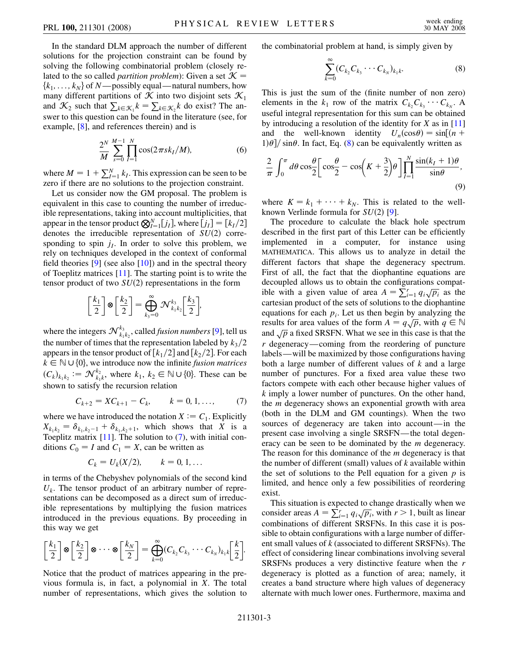In the standard DLM approach the number of different solutions for the projection constraint can be found by solving the following combinatorial problem (closely related to the so called *partition problem*): Given a set  $K =$  ${k_1, \ldots, k_N}$  of *N*—possibly equal—natural numbers, how many different partitions of  $K$  into two disjoint sets  $\mathcal{K}_1$ and  $\mathcal{K}_2$  such that  $\sum_{k \in \mathcal{K}_1} k = \sum_{k \in \mathcal{K}_2} k$  do exist? The answer to this question can be found in the literature (see, for example, [[8\]](#page-4-10), and references therein) and is

$$
\frac{2^N}{M} \sum_{s=0}^{M-1} \prod_{I=1}^N \cos(2\pi sk_I/M),\tag{6}
$$

where  $M = 1 + \sum_{I=1}^{N} k_I$ . This expression can be seen to be zero if there are no solutions to the projection constraint.

Let us consider now the GM proposal. The problem is equivalent in this case to counting the number of irreducible representations, taking into account multiplicities, that appear in the tensor product  $\bigotimes_{I=1}^{N} [j_I]$ , where  $[j_I] = [k_I/2]$ denotes the irreducible representation of  $SU(2)$  corresponding to spin  $j_l$ . In order to solve this problem, we rely on techniques developed in the context of conformal field theories  $[9]$  (see also  $[10]$  $[10]$  $[10]$ ) and in the spectral theory of Toeplitz matrices [\[11\]](#page-4-13). The starting point is to write the tensor product of two  $SU(2)$  representations in the form

$$
\left[\frac{k_1}{2}\right] \otimes \left[\frac{k_2}{2}\right] = \bigoplus_{k_3=0}^{\infty} \mathcal{N}_{k_1 k_2}^{k_3} \left[\frac{k_3}{2}\right],
$$

where the integers  $\mathcal{N}_{k_1k_2}^{k_3}$ , called *fusion numbers* [[9\]](#page-4-11), tell us the number of times that the representation labeled by  $k_3/2$ appears in the tensor product of  $\lceil k_1/2 \rceil$  and  $\lceil k_2/2 \rceil$ . For each  $k \in \mathbb{N} \cup \{0\}$ , we introduce now the infinite *fusion matrices*  $(C_k)_{k_1 k_2} := \mathcal{N}_{k_1 k}^{k_2}$ , where  $k_1, k_2 \in \mathbb{N} \cup \{0\}$ . These can be shown to satisfy the recursion relation

$$
C_{k+2} = XC_{k+1} - C_k, \qquad k = 0, 1, ..., \qquad (7)
$$

<span id="page-3-0"></span>where we have introduced the notation  $X := C_1$ . Explicitly  $X_{k_1k_2} = \delta_{k_1,k_2-1} + \delta_{k_1,k_2+1}$ , which shows that *X* is a Toeplitz matrix  $[11]$ . The solution to  $(7)$ , with initial conditions  $C_0 = I$  and  $C_1 = X$ , can be written as

$$
C_k = U_k(X/2), \qquad k = 0, 1, ...
$$

in terms of the Chebyshev polynomials of the second kind  $U_k$ . The tensor product of an arbitrary number of representations can be decomposed as a direct sum of irreducible representations by multiplying the fusion matrices introduced in the previous equations. By proceeding in this way we get

$$
\left[\frac{k_1}{2}\right] \otimes \left[\frac{k_2}{2}\right] \otimes \cdots \otimes \left[\frac{k_N}{2}\right] = \bigoplus_{k=0}^{\infty} (C_{k_2} C_{k_3} \cdots C_{k_N})_{k_1 k} \left[\frac{k}{2}\right].
$$

Notice that the product of matrices appearing in the previous formula is, in fact, a polynomial in *X*. The total number of representations, which gives the solution to <span id="page-3-1"></span>the combinatorial problem at hand, is simply given by

$$
\sum_{k=0}^{\infty} (C_{k_2} C_{k_3} \cdots C_{k_N})_{k_1 k}.
$$
 (8)

This is just the sum of the (finite number of non zero) elements in the  $k_1$  row of the matrix  $C_{k_2}C_{k_3}\cdots C_{k_N}$ . A useful integral representation for this sum can be obtained by introducing a resolution of the identity for *X* as in [\[11\]](#page-4-13) and the well-known identity  $U_n(\cos \theta) = \sin[(n +$  $1\frac{\theta}{\sigma}$  sin $\theta$ . In fact, Eq. [\(8\)](#page-3-1) can be equivalently written as

$$
\frac{2}{\pi} \int_0^{\pi} d\theta \cos \frac{\theta}{2} \left[ \cos \frac{\theta}{2} - \cos \left( K + \frac{3}{2} \right) \theta \right] \prod_{I=1}^N \frac{\sin (k_I + 1) \theta}{\sin \theta},
$$
\n(9)

where  $K = k_1 + \cdots + k_N$ . This is related to the wellknown Verlinde formula for  $SU(2)$  [[9](#page-4-11)].

The procedure to calculate the black hole spectrum described in the first part of this Letter can be efficiently implemented in a computer, for instance using MATHEMATICA. This allows us to analyze in detail the different factors that shape the degeneracy spectrum. First of all, the fact that the diophantine equations are decoupled allows us to obtain the configurations compatible with a given value of area  $A = \sum_{i=1}^{r} q_i \sqrt{p_i}$  as the cartesian product of the sets of solutions to the diophantine equations for each  $p_i$ . Let us then begin by analyzing the results for area values of the form  $A = q\sqrt{p}$ , with  $q \in \mathbb{N}$ and  $\sqrt{p}$  a fixed SRSFN. What we see in this case is that the *r* degeneracy—coming from the reordering of puncture labels—will be maximized by those configurations having both a large number of different values of *k* and a large number of punctures. For a fixed area value these two factors compete with each other because higher values of *k* imply a lower number of punctures. On the other hand, the *m* degeneracy shows an exponential growth with area (both in the DLM and GM countings). When the two sources of degeneracy are taken into account—in the present case involving a single SRSFN—the total degeneracy can be seen to be dominated by the *m* degeneracy. The reason for this dominance of the *m* degeneracy is that the number of different (small) values of *k* available within the set of solutions to the Pell equation for a given *p* is limited, and hence only a few possibilities of reordering exist.

This situation is expected to change drastically when we consider areas  $A = \sum_{i=1}^{r} q_i \sqrt{p_i}$ , with  $r > 1$ , built as linear combinations of different SRSFNs. In this case it is possible to obtain configurations with a large number of different small values of *k* (associated to different SRSFNs). The effect of considering linear combinations involving several SRSFNs produces a very distinctive feature when the *r* degeneracy is plotted as a function of area; namely, it creates a band structure where high values of degeneracy alternate with much lower ones. Furthermore, maxima and